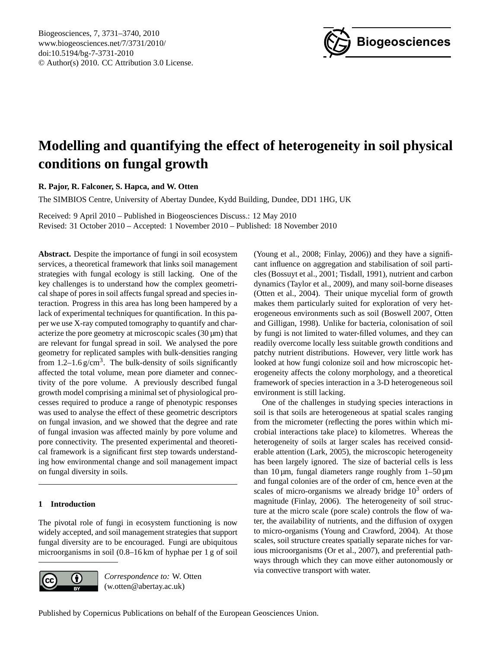

# <span id="page-0-0"></span>**Modelling and quantifying the effect of heterogeneity in soil physical conditions on fungal growth**

**R. Pajor, R. Falconer, S. Hapca, and W. Otten**

The SIMBIOS Centre, University of Abertay Dundee, Kydd Building, Dundee, DD1 1HG, UK

Received: 9 April 2010 – Published in Biogeosciences Discuss.: 12 May 2010 Revised: 31 October 2010 – Accepted: 1 November 2010 – Published: 18 November 2010

**Abstract.** Despite the importance of fungi in soil ecosystem services, a theoretical framework that links soil management strategies with fungal ecology is still lacking. One of the key challenges is to understand how the complex geometrical shape of pores in soil affects fungal spread and species interaction. Progress in this area has long been hampered by a lack of experimental techniques for quantification. In this paper we use X-ray computed tomography to quantify and characterize the pore geometry at microscopic scales  $(30 \,\mu m)$  that are relevant for fungal spread in soil. We analysed the pore geometry for replicated samples with bulk-densities ranging from  $1.2-1.6$  g/cm<sup>3</sup>. The bulk-density of soils significantly affected the total volume, mean pore diameter and connectivity of the pore volume. A previously described fungal growth model comprising a minimal set of physiological processes required to produce a range of phenotypic responses was used to analyse the effect of these geometric descriptors on fungal invasion, and we showed that the degree and rate of fungal invasion was affected mainly by pore volume and pore connectivity. The presented experimental and theoretical framework is a significant first step towards understanding how environmental change and soil management impact on fungal diversity in soils.

## **1 Introduction**

The pivotal role of fungi in ecosystem functioning is now widely accepted, and soil management strategies that support fungal diversity are to be encouraged. Fungi are ubiquitous microorganisms in soil (0.8–16 km of hyphae per 1 g of soil



*Correspondence to:* W. Otten (w.otten@abertay.ac.uk)

(Young et al., 2008; Finlay, 2006)) and they have a significant influence on aggregation and stabilisation of soil particles (Bossuyt et al., 2001; Tisdall, 1991), nutrient and carbon dynamics (Taylor et al., 2009), and many soil-borne diseases (Otten et al., 2004). Their unique mycelial form of growth makes them particularly suited for exploration of very heterogeneous environments such as soil (Boswell 2007, Otten and Gilligan, 1998). Unlike for bacteria, colonisation of soil by fungi is not limited to water-filled volumes, and they can readily overcome locally less suitable growth conditions and patchy nutrient distributions. However, very little work has looked at how fungi colonize soil and how microscopic heterogeneity affects the colony morphology, and a theoretical framework of species interaction in a 3-D heterogeneous soil environment is still lacking.

One of the challenges in studying species interactions in soil is that soils are heterogeneous at spatial scales ranging from the micrometer (reflecting the pores within which microbial interactions take place) to kilometres. Whereas the heterogeneity of soils at larger scales has received considerable attention (Lark, 2005), the microscopic heterogeneity has been largely ignored. The size of bacterial cells is less than 10  $\mu$ m, fungal diameters range roughly from 1–50  $\mu$ m and fungal colonies are of the order of cm, hence even at the scales of micro-organisms we already bridge  $10<sup>3</sup>$  orders of magnitude (Finlay, 2006). The heterogeneity of soil structure at the micro scale (pore scale) controls the flow of water, the availability of nutrients, and the diffusion of oxygen to micro-organisms (Young and Crawford, 2004). At those scales, soil structure creates spatially separate niches for various microorganisms (Or et al., 2007), and preferential pathways through which they can move either autonomously or via convective transport with water.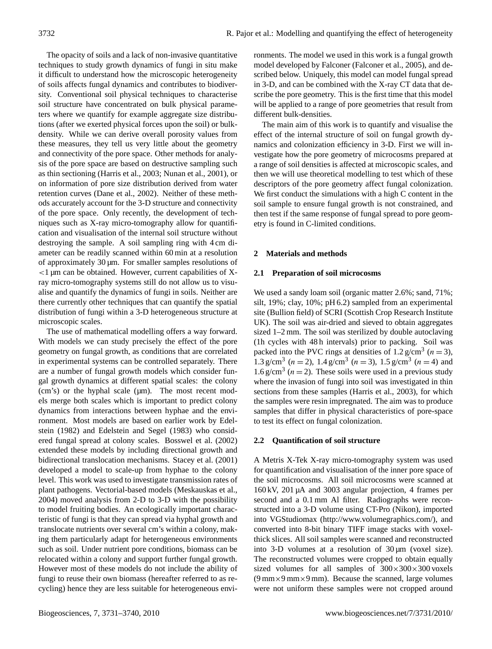The opacity of soils and a lack of non-invasive quantitative techniques to study growth dynamics of fungi in situ make it difficult to understand how the microscopic heterogeneity of soils affects fungal dynamics and contributes to biodiversity. Conventional soil physical techniques to characterise soil structure have concentrated on bulk physical parameters where we quantify for example aggregate size distributions (after we exerted physical forces upon the soil) or bulkdensity. While we can derive overall porosity values from these measures, they tell us very little about the geometry and connectivity of the pore space. Other methods for analysis of the pore space are based on destructive sampling such as thin sectioning (Harris et al., 2003; Nunan et al., 2001), or on information of pore size distribution derived from water retention curves (Dane et al., 2002). Neither of these methods accurately account for the 3-D structure and connectivity of the pore space. Only recently, the development of techniques such as X-ray micro-tomography allow for quantification and visualisation of the internal soil structure without destroying the sample. A soil sampling ring with 4 cm diameter can be readily scanned within 60 min at a resolution of approximately 30 µm. For smaller samples resolutions of  $\langle$ 1 µm can be obtained. However, current capabilities of Xray micro-tomography systems still do not allow us to visualise and quantify the dynamics of fungi in soils. Neither are there currently other techniques that can quantify the spatial distribution of fungi within a 3-D heterogeneous structure at microscopic scales.

The use of mathematical modelling offers a way forward. With models we can study precisely the effect of the pore geometry on fungal growth, as conditions that are correlated in experimental systems can be controlled separately. There are a number of fungal growth models which consider fungal growth dynamics at different spatial scales: the colony (cm's) or the hyphal scale (µm). The most recent models merge both scales which is important to predict colony dynamics from interactions between hyphae and the environment. Most models are based on earlier work by Edelstein (1982) and Edelstein and Segel (1983) who considered fungal spread at colony scales. Bosswel et al. (2002) extended these models by including directional growth and bidirectional translocation mechanisms. Stacey et al. (2001) developed a model to scale-up from hyphae to the colony level. This work was used to investigate transmission rates of plant pathogens. Vectorial-based models (Meskauskas et al., 2004) moved analysis from 2-D to 3-D with the possibility to model fruiting bodies. An ecologically important characteristic of fungi is that they can spread via hyphal growth and translocate nutrients over several cm's within a colony, making them particularly adapt for heterogeneous environments such as soil. Under nutrient pore conditions, biomass can be relocated within a colony and support further fungal growth. However most of these models do not include the ability of fungi to reuse their own biomass (hereafter referred to as recycling) hence they are less suitable for heterogeneous environments. The model we used in this work is a fungal growth model developed by Falconer (Falconer et al., 2005), and described below. Uniquely, this model can model fungal spread in 3-D, and can be combined with the X-ray CT data that describe the pore geometry. This is the first time that this model will be applied to a range of pore geometries that result from different bulk-densities.

The main aim of this work is to quantify and visualise the effect of the internal structure of soil on fungal growth dynamics and colonization efficiency in 3-D. First we will investigate how the pore geometry of microcosms prepared at a range of soil densities is affected at microscopic scales, and then we will use theoretical modelling to test which of these descriptors of the pore geometry affect fungal colonization. We first conduct the simulations with a high C content in the soil sample to ensure fungal growth is not constrained, and then test if the same response of fungal spread to pore geometry is found in C-limited conditions.

## **2 Materials and methods**

## **2.1 Preparation of soil microcosms**

We used a sandy loam soil (organic matter 2.6%; sand, 71%; silt, 19%; clay, 10%; pH 6.2) sampled from an experimental site (Bullion field) of SCRI (Scottish Crop Research Institute UK). The soil was air-dried and sieved to obtain aggregates sized 1–2 mm. The soil was sterilized by double autoclaving (1h cycles with 48 h intervals) prior to packing. Soil was packed into the PVC rings at densities of  $1.2 \text{ g/cm}^3$  ( $n = 3$ ), 1.3 g/cm<sup>3</sup> ( $n = 2$ ), 1.4 g/cm<sup>3</sup> ( $n = 3$ ), 1.5 g/cm<sup>3</sup> ( $n = 4$ ) and 1.6 g/cm<sup>3</sup> ( $n = 2$ ). These soils were used in a previous study where the invasion of fungi into soil was investigated in thin sections from these samples (Harris et al., 2003), for which the samples were resin impregnated. The aim was to produce samples that differ in physical characteristics of pore-space to test its effect on fungal colonization.

## **2.2 Quantification of soil structure**

A Metris X-Tek X-ray micro-tomography system was used for quantification and visualisation of the inner pore space of the soil microcosms. All soil microcosms were scanned at 160 kV, 201 µA and 3003 angular projection, 4 frames per second and a 0.1 mm Al filter. Radiographs were reconstructed into a 3-D volume using CT-Pro (Nikon), imported into VGStudiomax [\(http://www.volumegraphics.com/\)](http://www.volumegraphics.com/), and converted into 8-bit binary TIFF image stacks with voxelthick slices. All soil samples were scanned and reconstructed into 3-D volumes at a resolution of 30 µm (voxel size). The reconstructed volumes were cropped to obtain equally sized volumes for all samples of  $300 \times 300 \times 300$  voxels  $(9 \text{ mm} \times 9 \text{ mm} \times 9 \text{ mm})$ . Because the scanned, large volumes were not uniform these samples were not cropped around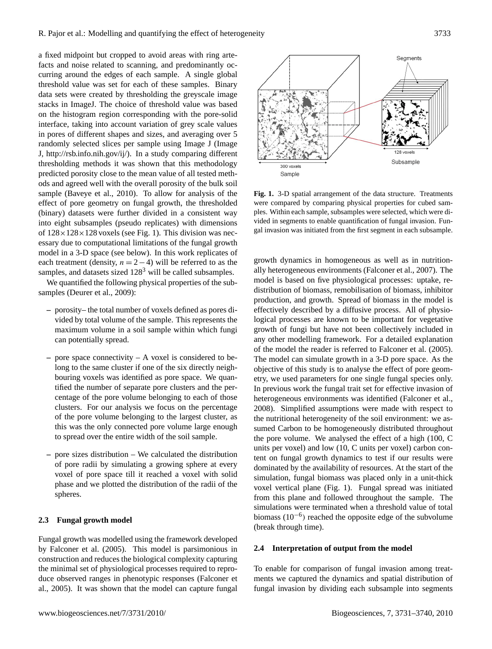a fixed midpoint but cropped to avoid areas with ring artefacts and noise related to scanning, and predominantly occurring around the edges of each sample. A single global threshold value was set for each of these samples. Binary data sets were created by thresholding the greyscale image stacks in ImageJ. The choice of threshold value was based on the histogram region corresponding with the pore-solid interface, taking into account variation of grey scale values in pores of different shapes and sizes, and averaging over 5 randomly selected slices per sample using Image J (Image J, [http://rsb.info.nih.gov/ij/\)](http://rsb.info.nih.gov/ij/). In a study comparing different thresholding methods it was shown that this methodology predicted porosity close to the mean value of all tested methods and agreed well with the overall porosity of the bulk soil sample (Baveye et al., 2010). To allow for analysis of the effect of pore geometry on fungal growth, the thresholded (binary) datasets were further divided in a consistent way into eight subsamples (pseudo replicates) with dimensions of  $128 \times 128 \times 128$  voxels (see Fig. 1). This division was necessary due to computational limitations of the fungal growth model in a 3-D space (see below). In this work replicates of each treatment (density,  $n = 2 - 4$ ) will be referred to as the samples, and datasets sized  $128<sup>3</sup>$  will be called subsamples.

We quantified the following physical properties of the subsamples (Deurer et al., 2009):

- **–** porosity– the total number of voxels defined as pores divided by total volume of the sample. This represents the maximum volume in a soil sample within which fungi can potentially spread.
- **–** pore space connectivity A voxel is considered to belong to the same cluster if one of the six directly neighbouring voxels was identified as pore space. We quantified the number of separate pore clusters and the percentage of the pore volume belonging to each of those clusters. For our analysis we focus on the percentage of the pore volume belonging to the largest cluster, as this was the only connected pore volume large enough to spread over the entire width of the soil sample.
- **–** pore sizes distribution We calculated the distribution of pore radii by simulating a growing sphere at every voxel of pore space till it reached a voxel with solid phase and we plotted the distribution of the radii of the spheres.

#### **2.3 Fungal growth model**

Fungal growth was modelled using the framework developed by Falconer et al. (2005). This model is parsimonious in construction and reduces the biological complexity capturing the minimal set of physiological processes required to reproduce observed ranges in phenotypic responses (Falconer et al., 2005). It was shown that the model can capture fungal



**Fig. 1.** 3-D spatial arrangement of the data structure. Treatments were compared by comparing physical properties for cubed samples. Within each sample, subsamples were selected, which were divided in segments to enable quantification of fungal invasion. Fungal invasion was initiated from the first segment in each subsample.

growth dynamics in homogeneous as well as in nutritionally heterogeneous environments (Falconer et al., 2007). The model is based on five physiological processes: uptake, redistribution of biomass, remobilisation of biomass, inhibitor production, and growth. Spread of biomass in the model is effectively described by a diffusive process. All of physiological processes are known to be important for vegetative growth of fungi but have not been collectively included in any other modelling framework. For a detailed explanation of the model the reader is referred to Falconer et al. (2005). The model can simulate growth in a 3-D pore space. As the objective of this study is to analyse the effect of pore geometry, we used parameters for one single fungal species only. In previous work the fungal trait set for effective invasion of heterogeneous environments was identified (Falconer et al., 2008). Simplified assumptions were made with respect to the nutritional heterogeneity of the soil environment: we assumed Carbon to be homogeneously distributed throughout the pore volume. We analysed the effect of a high (100, C units per voxel) and low (10, C units per voxel) carbon content on fungal growth dynamics to test if our results were dominated by the availability of resources. At the start of the simulation, fungal biomass was placed only in a unit-thick voxel vertical plane (Fig. 1). Fungal spread was initiated from this plane and followed throughout the sample. The simulations were terminated when a threshold value of total biomass (10<sup>-6</sup>) reached the opposite edge of the subvolume (break through time).

#### **2.4 Interpretation of output from the model**

To enable for comparison of fungal invasion among treatments we captured the dynamics and spatial distribution of fungal invasion by dividing each subsample into segments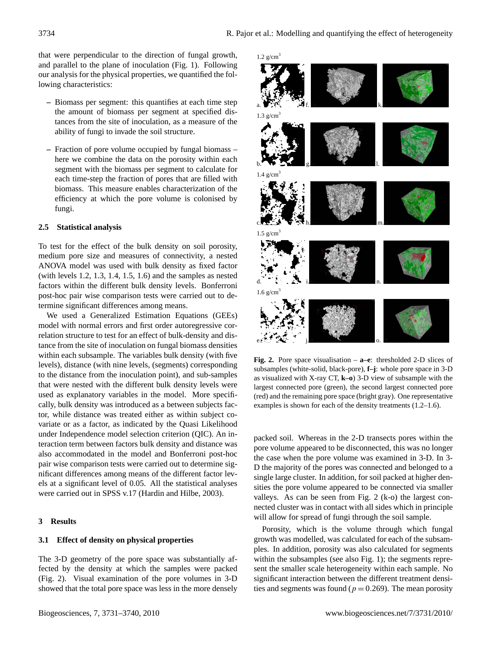that were perpendicular to the direction of fungal growth, and parallel to the plane of inoculation (Fig. 1). Following our analysis for the physical properties, we quantified the following characteristics:

- **–** Biomass per segment: this quantifies at each time step the amount of biomass per segment at specified distances from the site of inoculation, as a measure of the ability of fungi to invade the soil structure.
- **–** Fraction of pore volume occupied by fungal biomass here we combine the data on the porosity within each segment with the biomass per segment to calculate for each time-step the fraction of pores that are filled with biomass. This measure enables characterization of the efficiency at which the pore volume is colonised by fungi.

#### **2.5 Statistical analysis**

To test for the effect of the bulk density on soil porosity, medium pore size and measures of connectivity, a nested ANOVA model was used with bulk density as fixed factor (with levels 1.2, 1.3, 1.4, 1.5, 1.6) and the samples as nested factors within the different bulk density levels. Bonferroni post-hoc pair wise comparison tests were carried out to determine significant differences among means.

We used a Generalized Estimation Equations (GEEs) model with normal errors and first order autoregressive correlation structure to test for an effect of bulk-density and distance from the site of inoculation on fungal biomass densities within each subsample. The variables bulk density (with five levels), distance (with nine levels, (segments) corresponding to the distance from the inoculation point), and sub-samples that were nested with the different bulk density levels were used as explanatory variables in the model. More specifically, bulk density was introduced as a between subjects factor, while distance was treated either as within subject covariate or as a factor, as indicated by the Quasi Likelihood under Independence model selection criterion (QIC). An interaction term between factors bulk density and distance was also accommodated in the model and Bonferroni post-hoc pair wise comparison tests were carried out to determine significant differences among means of the different factor levels at a significant level of 0.05. All the statistical analyses were carried out in SPSS v.17 (Hardin and Hilbe, 2003).

## **3 Results**

### **3.1 Effect of density on physical properties**

The 3-D geometry of the pore space was substantially affected by the density at which the samples were packed (Fig. 2). Visual examination of the pore volumes in 3-D showed that the total pore space was less in the more densely



**Fig. 2.** Pore space visualisation – **a–e**: thresholded 2-D slices of subsamples (white-solid, black-pore), **f–j**: whole pore space in 3-D as visualized with X-ray CT, **k–o**) 3-D view of subsample with the largest connected pore (green), the second largest connected pore (red) and the remaining pore space (bright gray). One representative examples is shown for each of the density treatments (1.2–1.6).

packed soil. Whereas in the 2-D transects pores within the pore volume appeared to be disconnected, this was no longer the case when the pore volume was examined in 3-D. In 3- D the majority of the pores was connected and belonged to a single large cluster. In addition, for soil packed at higher densities the pore volume appeared to be connected via smaller valleys. As can be seen from Fig. 2 (k-o) the largest connected cluster was in contact with all sides which in principle will allow for spread of fungi through the soil sample.

Porosity, which is the volume through which fungal growth was modelled, was calculated for each of the subsamples. In addition, porosity was also calculated for segments within the subsamples (see also Fig. 1); the segments represent the smaller scale heterogeneity within each sample. No significant interaction between the different treatment densities and segments was found ( $p = 0.269$ ). The mean porosity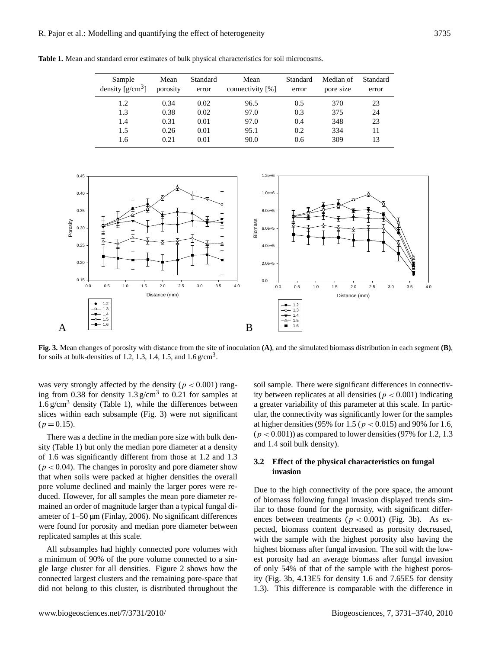**Table 1.** Mean and standard error estimates of bulk physical characteristics for soil microcosms.

| Sample<br>density $[g/cm^3]$ | Mean<br>porosity | Standard<br>error | Mean<br>connectivity [%] | Standard<br>error | Median of<br>pore size | Standard<br>error |
|------------------------------|------------------|-------------------|--------------------------|-------------------|------------------------|-------------------|
| 1.2                          | 0.34             | 0.02              | 96.5                     | 0.5               | 370                    | 23                |
| 1.3                          | 0.38             | 0.02              | 97.0                     | 0.3               | 375                    | 24                |
| 1.4                          | 0.31             | 0.01              | 97.0                     | 0.4               | 348                    | 23                |
| 1.5                          | 0.26             | 0.01              | 95.1                     | 0.2               | 334                    | 11                |
| 1.6                          | 0.21             | 0.01              | 90.0                     | 0.6               | 309                    | 13                |



**Fig. 3.** Mean changes of porosity with distance from the site of inoculation **(A)**, and the simulated biomass distribution in each segment **(B)**, for soils at bulk-densities of 1.2, 1.3, 1.4, 1.5, and  $1.6 \text{ g/cm}^3$ .

was very strongly affected by the density ( $p < 0.001$ ) ranging from 0.38 for density  $1.3 \text{ g/cm}^3$  to 0.21 for samples at  $1.6 \text{ g/cm}^3$  density (Table 1), while the differences between slices within each subsample (Fig. 3) were not significant  $(p = 0.15)$ .

There was a decline in the median pore size with bulk density (Table 1) but only the median pore diameter at a density of 1.6 was significantly different from those at 1.2 and 1.3  $(p < 0.04)$ . The changes in porosity and pore diameter show that when soils were packed at higher densities the overall pore volume declined and mainly the larger pores were reduced. However, for all samples the mean pore diameter remained an order of magnitude larger than a typical fungal diameter of  $1-50 \mu m$  (Finlay, 2006). No significant differences were found for porosity and median pore diameter between replicated samples at this scale.

All subsamples had highly connected pore volumes with a minimum of 90% of the pore volume connected to a single large cluster for all densities. Figure 2 shows how the connected largest clusters and the remaining pore-space that did not belong to this cluster, is distributed throughout the

soil sample. There were significant differences in connectivity between replicates at all densities ( $p < 0.001$ ) indicating a greater variability of this parameter at this scale. In particular, the connectivity was significantly lower for the samples at higher densities (95% for 1.5 ( $p < 0.015$ ) and 90% for 1.6,  $(p < 0.001)$  as compared to lower densities (97% for 1.2, 1.3) and 1.4 soil bulk density).

## **3.2 Effect of the physical characteristics on fungal invasion**

Due to the high connectivity of the pore space, the amount of biomass following fungal invasion displayed trends similar to those found for the porosity, with significant differences between treatments ( $p < 0.001$ ) (Fig. 3b). As expected, biomass content decreased as porosity decreased, with the sample with the highest porosity also having the highest biomass after fungal invasion. The soil with the lowest porosity had an average biomass after fungal invasion of only 54% of that of the sample with the highest porosity (Fig. 3b, 4.13E5 for density 1.6 and 7.65E5 for density 1.3). This difference is comparable with the difference in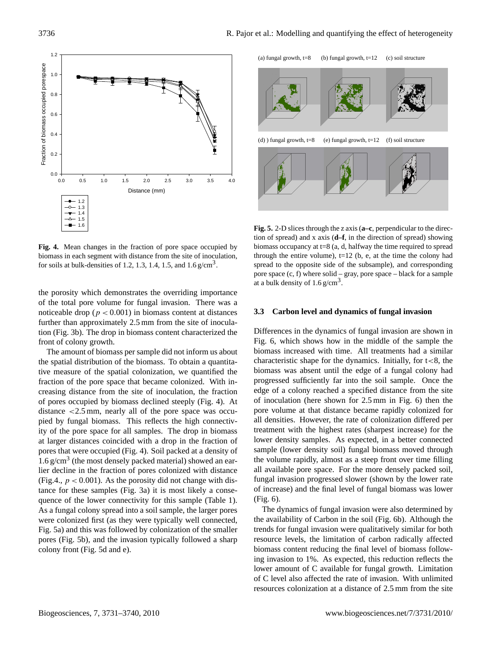

**Fig. 4.** Mean changes in the fraction of pore space occupied by biomass in each segment with distance from the site of inoculation, for soils at bulk-densities of 1.2, 1.3, 1.4, 1.5, and  $1.6 \text{ g/cm}^3$ .

the porosity which demonstrates the overriding importance of the total pore volume for fungal invasion. There was a noticeable drop ( $p < 0.001$ ) in biomass content at distances further than approximately 2.5 mm from the site of inoculation (Fig. 3b). The drop in biomass content characterized the front of colony growth.

The amount of biomass per sample did not inform us about the spatial distribution of the biomass. To obtain a quantitative measure of the spatial colonization, we quantified the fraction of the pore space that became colonized. With increasing distance from the site of inoculation, the fraction of pores occupied by biomass declined steeply (Fig. 4). At distance <2.5 mm, nearly all of the pore space was occupied by fungal biomass. This reflects the high connectivity of the pore space for all samples. The drop in biomass at larger distances coincided with a drop in the fraction of pores that were occupied (Fig. 4). Soil packed at a density of 1.6 g/cm<sup>3</sup> (the most densely packed material) showed an earlier decline in the fraction of pores colonized with distance (Fig.4.,  $p < 0.001$ ). As the porosity did not change with distance for these samples (Fig. 3a) it is most likely a consequence of the lower connectivity for this sample (Table 1). As a fungal colony spread into a soil sample, the larger pores were colonized first (as they were typically well connected, Fig. 5a) and this was followed by colonization of the smaller pores (Fig. 5b), and the invasion typically followed a sharp colony front (Fig. 5d and e).



**Fig. 5.** 2-D slices through the z axis (**a–c**, perpendicular to the direction of spread) and x axis (**d–f**, in the direction of spread) showing biomass occupancy at t=8 (a, d, halfway the time required to spread through the entire volume),  $t=12$  (b, e, at the time the colony had spread to the opposite side of the subsample), and corresponding pore space (c, f) where solid – gray, pore space – black for a sample at a bulk density of  $1.6 \text{ g/cm}^3$ .

### **3.3 Carbon level and dynamics of fungal invasion**

Differences in the dynamics of fungal invasion are shown in Fig. 6, which shows how in the middle of the sample the biomass increased with time. All treatments had a similar characteristic shape for the dynamics. Initially, for  $t < 8$ , the biomass was absent until the edge of a fungal colony had progressed sufficiently far into the soil sample. Once the edge of a colony reached a specified distance from the site of inoculation (here shown for 2.5 mm in Fig. 6) then the pore volume at that distance became rapidly colonized for all densities. However, the rate of colonization differed per treatment with the highest rates (sharpest increase) for the lower density samples. As expected, in a better connected sample (lower density soil) fungal biomass moved through the volume rapidly, almost as a steep front over time filling all available pore space. For the more densely packed soil, fungal invasion progressed slower (shown by the lower rate of increase) and the final level of fungal biomass was lower (Fig. 6).

The dynamics of fungal invasion were also determined by the availability of Carbon in the soil (Fig. 6b). Although the trends for fungal invasion were qualitatively similar for both resource levels, the limitation of carbon radically affected biomass content reducing the final level of biomass following invasion to 1%. As expected, this reduction reflects the lower amount of C available for fungal growth. Limitation of C level also affected the rate of invasion. With unlimited resources colonization at a distance of 2.5 mm from the site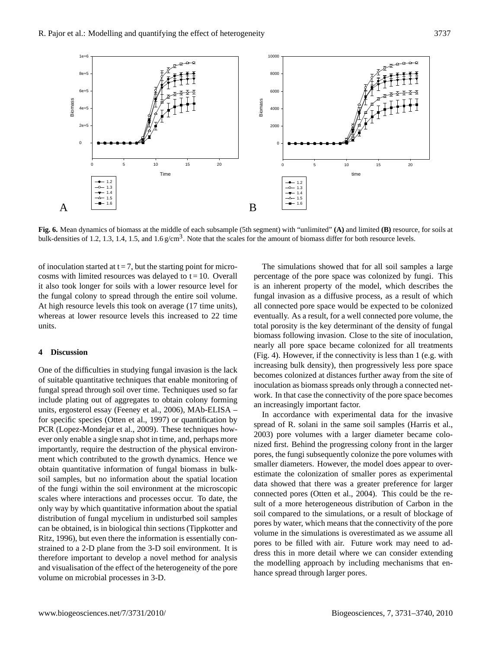

**Fig. 6.** Mean dynamics of biomass at the middle of each subsample (5th segment) with "unlimited" **(A)** and limited **(B)** resource, for soils at bulk-densities of 1.2, 1.3, 1.4, 1.5, and 1.6  $g/cm<sup>3</sup>$ . Note that the scales for the amount of biomass differ for both resource levels.

of inoculation started at  $t = 7$ , but the starting point for microcosms with limited resources was delayed to  $t = 10$ . Overall it also took longer for soils with a lower resource level for the fungal colony to spread through the entire soil volume. At high resource levels this took on average (17 time units), whereas at lower resource levels this increased to 22 time units.

#### **4 Discussion**

One of the difficulties in studying fungal invasion is the lack of suitable quantitative techniques that enable monitoring of fungal spread through soil over time. Techniques used so far include plating out of aggregates to obtain colony forming units, ergosterol essay (Feeney et al., 2006), MAb-ELISA – for specific species (Otten et al., 1997) or quantification by PCR (Lopez-Mondejar et al., 2009). These techniques however only enable a single snap shot in time, and, perhaps more importantly, require the destruction of the physical environment which contributed to the growth dynamics. Hence we obtain quantitative information of fungal biomass in bulksoil samples, but no information about the spatial location of the fungi within the soil environment at the microscopic scales where interactions and processes occur. To date, the only way by which quantitative information about the spatial distribution of fungal mycelium in undisturbed soil samples can be obtained, is in biological thin sections (Tippkotter and Ritz, 1996), but even there the information is essentially constrained to a 2-D plane from the 3-D soil environment. It is therefore important to develop a novel method for analysis and visualisation of the effect of the heterogeneity of the pore volume on microbial processes in 3-D.

The simulations showed that for all soil samples a large percentage of the pore space was colonized by fungi. This is an inherent property of the model, which describes the fungal invasion as a diffusive process, as a result of which all connected pore space would be expected to be colonized eventually. As a result, for a well connected pore volume, the total porosity is the key determinant of the density of fungal biomass following invasion. Close to the site of inoculation, nearly all pore space became colonized for all treatments (Fig. 4). However, if the connectivity is less than 1 (e.g. with increasing bulk density), then progressively less pore space becomes colonized at distances further away from the site of inoculation as biomass spreads only through a connected network. In that case the connectivity of the pore space becomes an increasingly important factor.

In accordance with experimental data for the invasive spread of R. solani in the same soil samples (Harris et al., 2003) pore volumes with a larger diameter became colonized first. Behind the progressing colony front in the larger pores, the fungi subsequently colonize the pore volumes with smaller diameters. However, the model does appear to overestimate the colonization of smaller pores as experimental data showed that there was a greater preference for larger connected pores (Otten et al., 2004). This could be the result of a more heterogeneous distribution of Carbon in the soil compared to the simulations, or a result of blockage of pores by water, which means that the connectivity of the pore volume in the simulations is overestimated as we assume all pores to be filled with air. Future work may need to address this in more detail where we can consider extending the modelling approach by including mechanisms that enhance spread through larger pores.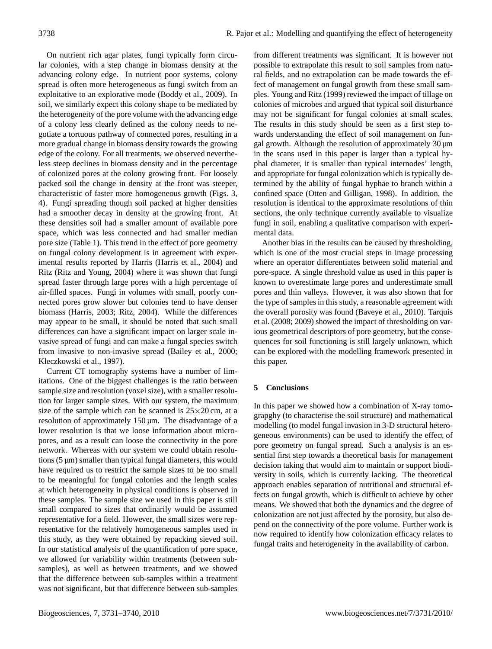On nutrient rich agar plates, fungi typically form circular colonies, with a step change in biomass density at the advancing colony edge. In nutrient poor systems, colony spread is often more heterogeneous as fungi switch from an exploitative to an explorative mode (Boddy et al., 2009). In soil, we similarly expect this colony shape to be mediated by the heterogeneity of the pore volume with the advancing edge of a colony less clearly defined as the colony needs to negotiate a tortuous pathway of connected pores, resulting in a more gradual change in biomass density towards the growing edge of the colony. For all treatments, we observed nevertheless steep declines in biomass density and in the percentage of colonized pores at the colony growing front. For loosely packed soil the change in density at the front was steeper, characteristic of faster more homogeneous growth (Figs. 3, 4). Fungi spreading though soil packed at higher densities had a smoother decay in density at the growing front. At these densities soil had a smaller amount of available pore space, which was less connected and had smaller median pore size (Table 1). This trend in the effect of pore geometry on fungal colony development is in agreement with experimental results reported by Harris (Harris et al., 2004) and Ritz (Ritz and Young, 2004) where it was shown that fungi spread faster through large pores with a high percentage of air-filled spaces. Fungi in volumes with small, poorly connected pores grow slower but colonies tend to have denser biomass (Harris, 2003; Ritz, 2004). While the differences may appear to be small, it should be noted that such small differences can have a significant impact on larger scale invasive spread of fungi and can make a fungal species switch from invasive to non-invasive spread (Bailey et al., 2000; Kleczkowski et al., 1997).

Current CT tomography systems have a number of limitations. One of the biggest challenges is the ratio between sample size and resolution (voxel size), with a smaller resolution for larger sample sizes. With our system, the maximum size of the sample which can be scanned is  $25 \times 20$  cm, at a resolution of approximately 150 µm. The disadvantage of a lower resolution is that we loose information about micropores, and as a result can loose the connectivity in the pore network. Whereas with our system we could obtain resolutions  $(5 \mu m)$  smaller than typical fungal diameters, this would have required us to restrict the sample sizes to be too small to be meaningful for fungal colonies and the length scales at which heterogeneity in physical conditions is observed in these samples. The sample size we used in this paper is still small compared to sizes that ordinarily would be assumed representative for a field. However, the small sizes were representative for the relatively homogeneous samples used in this study, as they were obtained by repacking sieved soil. In our statistical analysis of the quantification of pore space, we allowed for variability within treatments (between subsamples), as well as between treatments, and we showed that the difference between sub-samples within a treatment was not significant, but that difference between sub-samples

from different treatments was significant. It is however not possible to extrapolate this result to soil samples from natural fields, and no extrapolation can be made towards the effect of management on fungal growth from these small samples. Young and Ritz (1999) reviewed the impact of tillage on colonies of microbes and argued that typical soil disturbance may not be significant for fungal colonies at small scales. The results in this study should be seen as a first step towards understanding the effect of soil management on fungal growth. Although the resolution of approximately 30 µm in the scans used in this paper is larger than a typical hyphal diameter, it is smaller than typical internodes' length, and appropriate for fungal colonization which is typically determined by the ability of fungal hyphae to branch within a confined space (Otten and Gilligan, 1998). In addition, the resolution is identical to the approximate resolutions of thin sections, the only technique currently available to visualize fungi in soil, enabling a qualitative comparison with experimental data.

Another bias in the results can be caused by thresholding, which is one of the most crucial steps in image processing where an operator differentiates between solid material and pore-space. A single threshold value as used in this paper is known to overestimate large pores and underestimate small pores and thin valleys. However, it was also shown that for the type of samples in this study, a reasonable agreement with the overall porosity was found (Baveye et al., 2010). Tarquis et al. (2008; 2009) showed the impact of thresholding on various geometrical descriptors of pore geometry, but the consequences for soil functioning is still largely unknown, which can be explored with the modelling framework presented in this paper.

## **5 Conclusions**

In this paper we showed how a combination of X-ray tomograpghy (to characterise the soil structure) and mathematical modelling (to model fungal invasion in 3-D structural heterogeneous environments) can be used to identify the effect of pore geometry on fungal spread. Such a analysis is an essential first step towards a theoretical basis for management decision taking that would aim to maintain or support biodiversity in soils, which is currently lacking. The theoretical approach enables separation of nutritional and structural effects on fungal growth, which is difficult to achieve by other means. We showed that both the dynamics and the degree of colonization are not just affected by the porosity, but also depend on the connectivity of the pore volume. Further work is now required to identify how colonization efficacy relates to fungal traits and heterogeneity in the availability of carbon.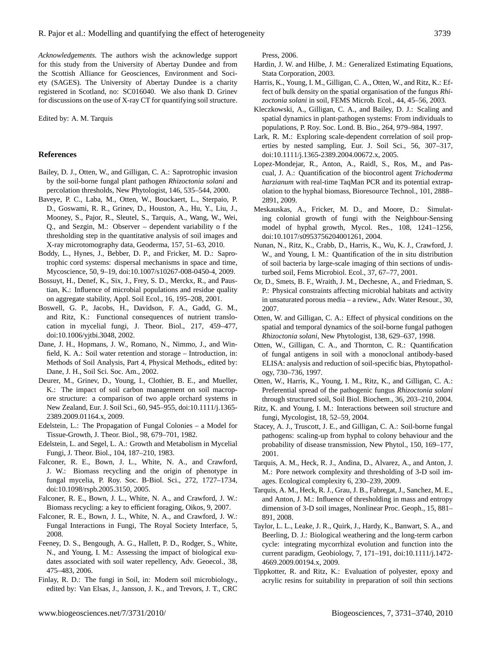*Acknowledgements.* The authors wish the acknowledge support for this study from the University of Abertay Dundee and from the Scottish Alliance for Geosciences, Environment and Society (SAGES). The University of Abertay Dundee is a charity registered in Scotland, no: SC016040. We also thank D. Grinev for discussions on the use of X-ray CT for quantifying soil structure.

Edited by: A. M. Tarquis

#### **References**

- Bailey, D. J., Otten, W., and Gilligan, C. A.: Saprotrophic invasion by the soil-borne fungal plant pathogen *Rhizoctonia solani* and percolation thresholds, New Phytologist, 146, 535–544, 2000.
- Baveye, P. C., Laba, M., Otten, W., Bouckaert, L., Sterpaio, P. D., Goswami, R. R., Grinev, D., Houston, A., Hu, Y., Liu, J., Mooney, S., Pajor, R., Sleutel, S., Tarquis, A., Wang, W., Wei, Q., and Sezgin, M.: Observer – dependent variability o f the thresholding step in the quantitative analysis of soil images and X-ray microtomography data, Geoderma, 157, 51–63, 2010.
- Boddy, L., Hynes, J., Bebber, D. P., and Fricker, M. D.: Saprotrophic cord systems: dispersal mechanisms in space and time, Mycoscience, 50, 9–19, doi:10.1007/s10267-008-0450-4, 2009.
- Bossuyt, H., Denef, K., Six, J., Frey, S. D., Merckx, R., and Paustian, K.: Influence of microbial populations and residue quality on aggregate stability, Appl. Soil Ecol., 16, 195–208, 2001.
- Boswell, G. P., Jacobs, H., Davidson, F. A., Gadd, G. M., and Ritz, K.: Functional consequences of nutrient translocation in mycelial fungi, J. Theor. Biol., 217, 459–477, doi:10.1006/yjtbi.3048, 2002.
- Dane, J. H., Hopmans, J. W., Romano, N., Nimmo, J., and Winfield, K. A.: Soil water retention and storage – Introduction, in: Methods of Soil Analysis, Part 4, Physical Methods,, edited by: Dane, J. H., Soil Sci. Soc. Am., 2002.
- Deurer, M., Grinev, D., Young, I., Clothier, B. E., and Mueller, K.: The impact of soil carbon management on soil macropore structure: a comparison of two apple orchard systems in New Zealand, Eur. J. Soil Sci., 60, 945–955, doi:10.1111/j.1365- 2389.2009.01164.x, 2009.
- Edelstein, L.: The Propagation of Fungal Colonies a Model for Tissue-Growth, J. Theor. Biol., 98, 679–701, 1982.
- Edelstein, L. and Segel, L. A.: Growth and Metabolism in Mycelial Fungi, J. Theor. Biol., 104, 187–210, 1983.
- Falconer, R. E., Bown, J. L., White, N. A., and Crawford, J. W.: Biomass recycling and the origin of phenotype in fungal mycelia, P. Roy. Soc. B-Biol. Sci., 272, 1727–1734, doi:10.1098/rspb.2005.3150, 2005.
- Falconer, R. E., Bown, J. L., White, N. A., and Crawford, J. W.: Biomass recycling: a key to efficient foraging, Oikos, 9, 2007.
- Falconer, R. E., Bown, J. L., White, N. A., and Crawford, J. W.: Fungal Interactions in Fungi, The Royal Society Interface, 5, 2008.
- Feeney, D. S., Bengough, A. G., Hallett, P. D., Rodger, S., White, N., and Young, I. M.: Assessing the impact of biological exudates associated with soil water repellency, Adv. Geoecol., 38, 475–483, 2006.
- Finlay, R. D.: The fungi in Soil, in: Modern soil microbiology., edited by: Van Elsas, J., Jansson, J. K., and Trevors, J. T., CRC

Press, 2006.

- Hardin, J. W. and Hilbe, J. M.: Generalized Estimating Equations, Stata Corporation, 2003.
- Harris, K., Young, I. M., Gilligan, C. A., Otten, W., and Ritz, K.: Effect of bulk density on the spatial organisation of the fungus *Rhizoctonia solani* in soil, FEMS Microb. Ecol., 44, 45–56, 2003.
- Kleczkowski, A., Gilligan, C. A., and Bailey, D. J.: Scaling and spatial dynamics in plant-pathogen systems: From individuals to populations, P. Roy. Soc. Lond. B. Bio., 264, 979–984, 1997.
- Lark, R. M.: Exploring scale-dependent correlation of soil properties by nested sampling, Eur. J. Soil Sci., 56, 307–317, doi:10.1111/j.1365-2389.2004.00672.x, 2005.
- Lopez-Mondejar, R., Anton, A., Raidl, S., Ros, M., and Pascual, J. A.: Quantification of the biocontrol agent *Trichoderma harzianum* with real-time TaqMan PCR and its potential extrapolation to the hyphal biomass, Bioresource Technol., 101, 2888– 2891, 2009.
- Meskauskas, A., Fricker, M. D., and Moore, D.: Simulating colonial growth of fungi with the Neighbour-Sensing model of hyphal growth, Mycol. Res., 108, 1241–1256, doi:10.1017/s0953756204001261, 2004.
- Nunan, N., Ritz, K., Crabb, D., Harris, K., Wu, K. J., Crawford, J. W., and Young, I. M.: Quantification of the in situ distribution of soil bacteria by large-scale imaging of thin sections of undisturbed soil, Fems Microbiol. Ecol., 37, 67–77, 2001.
- Or, D., Smets, B. F., Wraith, J. M., Dechesne, A., and Friedman, S. P.: Physical constraints affecting microbial habitats and activity in unsaturated porous media – a review., Adv. Water Resour., 30, 2007.
- Otten, W. and Gilligan, C. A.: Effect of physical conditions on the spatial and temporal dynamics of the soil-borne fungal pathogen *Rhizoctonia solani*, New Phytologist, 138, 629–637, 1998.
- Otten, W., Gilligan, C. A., and Thornton, C. R.: Quantification of fungal antigens in soil with a monoclonal antibody-based ELISA: analysis and reduction of soil-specific bias, Phytopathology, 730–736, 1997.
- Otten, W., Harris, K., Young, I. M., Ritz, K., and Gilligan, C. A.: Preferential spread of the pathogenic fungus *Rhizoctonia solani* through structured soil, Soil Biol. Biochem., 36, 203–210, 2004.
- Ritz, K. and Young, I. M.: Interactions between soil structure and fungi, Mycologist, 18, 52–59, 2004.
- Stacey, A. J., Truscott, J. E., and Gilligan, C. A.: Soil-borne fungal pathogens: scaling-up from hyphal to colony behaviour and the probability of disease transmission, New Phytol., 150, 169–177, 2001.
- Tarquis, A. M., Heck, R. J., Andina, D., Alvarez, A., and Anton, J. M.: Pore network complexity and thresholding of 3-D soil images. Ecological complexity 6, 230–239, 2009.
- Tarquis, A. M., Heck, R. J., Grau, J. B., Fabregat, J., Sanchez, M. E., and Anton, J. M.: Influence of thresholding in mass and entropy dimension of 3-D soil images, Nonlinear Proc. Geoph., 15, 881– 891, 2008.
- Taylor, L. L., Leake, J. R., Quirk, J., Hardy, K., Banwart, S. A., and Beerling, D. J.: Biological weathering and the long-term carbon cycle: integrating mycorrhizal evolution and function into the current paradigm, Geobiology, 7, 171–191, doi:10.1111/j.1472- 4669.2009.00194.x, 2009.
- Tippkotter, R. and Ritz, K.: Evaluation of polyester, epoxy and acrylic resins for suitability in preparation of soil thin sections